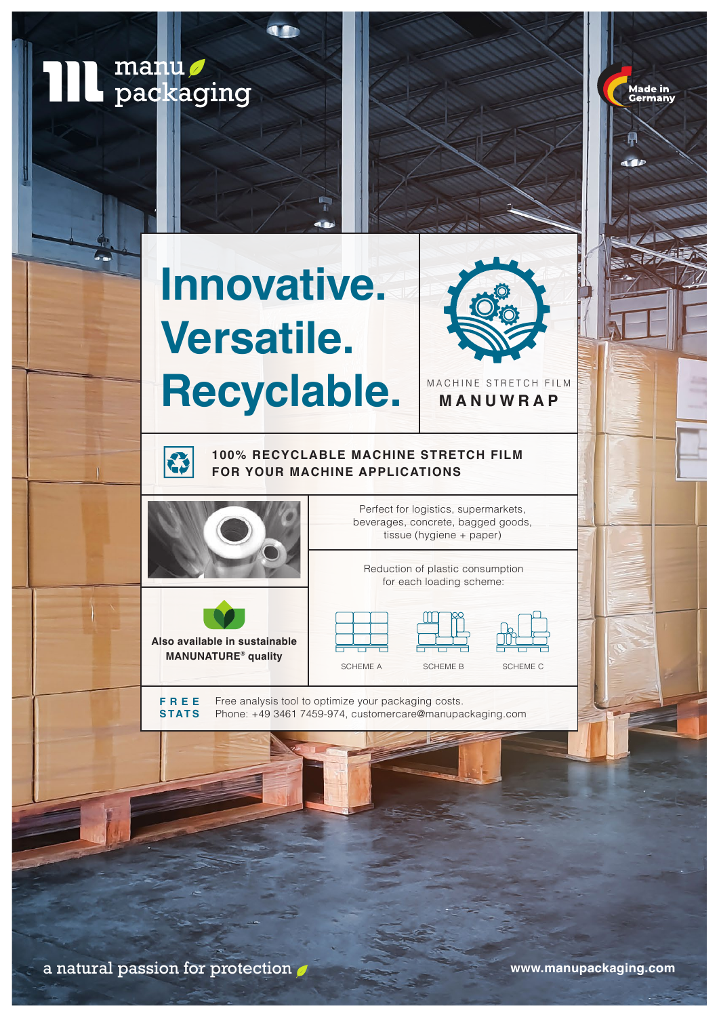**TIL** manu Made in<br>Germany **Innovative. Versatile.** Recyclable. MANUWRAP **MANUWRAP100% RECYCLABLE MACHINE STRETCH FILM**  23 **FOR YOUR MACHINE APPLICATIONS** Perfect for logistics, supermarkets, beverages, concrete, bagged goods, tissue (hygiene + paper) Reduction of plastic consumption for each loading scheme: **Also available in sustainable MANUNATURE® quality**

> **FREE STATS**

Free analysis tool to optimize your packaging costs. Phone: +49 3461 7459-974, customercare@manupackaging.com

SCHEME A SCHEME B SCHEME C